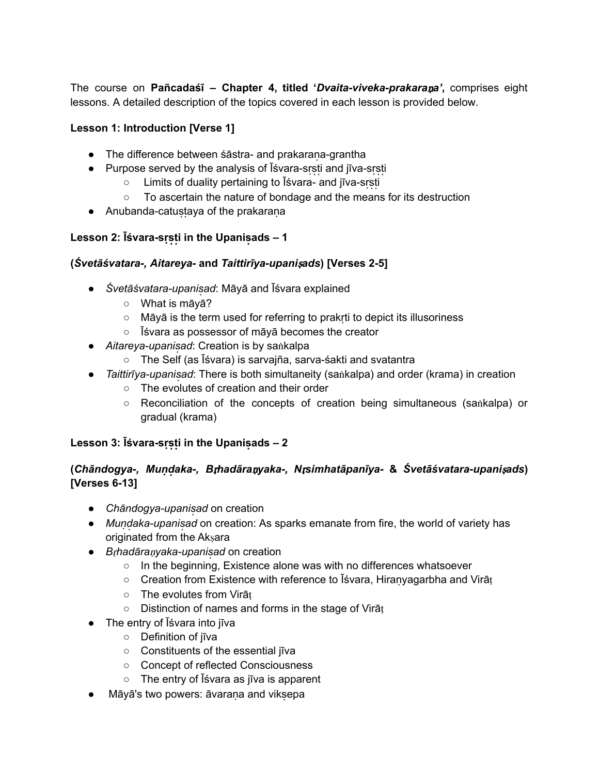The course on **Pañcadaśī – Chapter 4, titled '***Dvaita-viveka-prakara*ṇ*a'***,** comprises eight lessons. A detailed description of the topics covered in each lesson is provided below.

### **Lesson 1: Introduction [Verse 1]**

- The difference between śāstra- and prakarana-grantha
- $\bullet$  Purpose served by the analysis of  $\overline{\text{I}}$  svara-srsti and  $\overline{\text{I}}$  jīva-srsti
	- $\circ$  Limits of duality pertaining to  $\overline{\text{I}}$ svara- and jīva-srsti
	- To ascertain the nature of bondage and the means for its destruction
- Anubanda-catustaya of the prakarana

## **Lesson 2: Īśvara-srsti in the Upanisads – 1**

### **(***Śvetāśvatara-, Aitareya-* **and** *Taittirīya-upani*ṣ*ads***) [Verses 2-5]**

- *Śvetāśvatara-upanisạ d*: Māyā and Īśvara explained
	- What is māyā?
	- Māyā is the term used for referring to prakrṭi to depict its illusoriness
	- Īśvara as possessor of māyā becomes the creator
- *Aitareya-upanisad: Creation is by sankalpa* 
	- The Self (as Īśvara) is sarvajña, sarva-śakti and svatantra
- *Taittirīya-upanisad*: There is both simultaneity (saṅkalpa) and order (krama) in creation
	- The evolutes of creation and their order
	- Reconciliation of the concepts of creation being simultaneous (saṅkalpa) or gradual (krama)

### **Lesson 3: Īśvara-srsti in the Upanisads – 2**

## **(***Chāndogya-, Munḍ ạ ka-, B*ṛ*hadāra*ṇ*yaka-, N*ṛ*simhatāpanīya-* **&** *Śvetāśvatara-upani*ṣ*ads***) [Verses 6-13]**

- *Chāndogya-upanisad* on creation
- *Mundaka-upanisad* on creation: As sparks emanate from fire, the world of variety has originated from the Akṣara
- *B*ṛ*hadāra*ṇ*yaka-upanisạ d* on creation
	- In the beginning, Existence alone was with no differences whatsoever
	- Creation from Existence with reference to Īśvara, Hiranyagarbha and Virāṭ
	- The evolutes from Virāṭ
	- Distinction of names and forms in the stage of Virāṭ
- The entry of Īśvara into jīva
	- Definition of jīva
	- Constituents of the essential jīva
	- Concept of reflected Consciousness
	- The entry of Īśvara as jīva is apparent
- Māyā's two powers: āvarana and viksepa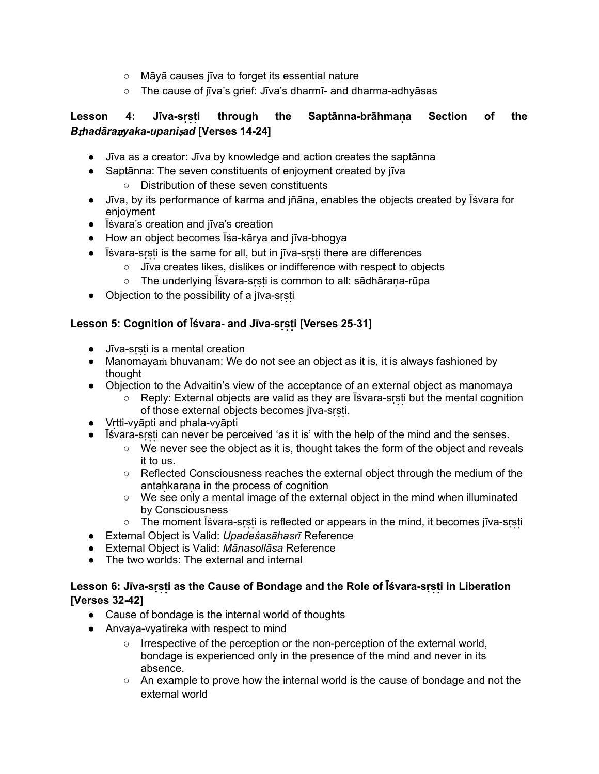- Māyā causes jīva to forget its essential nature
- The cause of jīva's grief: Jīva's dharmī- and dharma-adhyāsas

# **Lesson 4: Jīva-srṣ ṭị through the Saptānna-brāhmanạ Section of the** *B*ṛ*hadāra*ṇ*yaka-upani*ṣ*ad* **[Verses 14-24]**

- Jīva as a creator: Jīva by knowledge and action creates the saptānna
- Saptānna: The seven constituents of enjoyment created by jīva
	- Distribution of these seven constituents
- Jīva, by its performance of karma and jñāna, enables the objects created by Īśvara for enjoyment
- Īśvara's creation and jīva's creation
- How an object becomes Īśa-kārya and jīva-bhogya
- $\bullet$  Isvara-srsti is the same for all, but in jīva-srsti there are differences
	- Jīva creates likes, dislikes or indifference with respect to objects
	- o The underlying Īśvara-srsti is common to all: sādhārana-rūpa
- Objection to the possibility of a jīva-srsti

### **Lesson 5: Cognition of Īśvara- and Jīva-srṣ ṭị [Verses 25-31]**

- $\bullet$  Jīva-srsti is a mental creation
- Manomayam bhuvanam: We do not see an object as it is, it is always fashioned by thought
- Objection to the Advaitin's view of the acceptance of an external object as manomaya
	- $\circ$  Reply: External objects are valid as they are Isvara-srsti but the mental cognition of those external objects becomes jīva-srsti.
- Vrṭti-vyāpti and phala-vyāpti
- Isvara-srsti can never be perceived 'as it is' with the help of the mind and the senses.
	- We never see the object as it is, thought takes the form of the object and reveals it to us.
	- Reflected Consciousness reaches the external object through the medium of the antahkarana in the process of cognition
	- We see only a mental image of the external object in the mind when illuminated by Consciousness
	- $\circ$  The moment  $\overline{\text{Is}}$  vara-srsti is reflected or appears in the mind, it becomes jīva-srsti
- External Object is Valid: *Upadeśasāhasrī* Reference
- External Object is Valid: *Mānasollāsa* Reference
- The two worlds: The external and internal

### **Lesson 6: Jīva-srṣ ṭị as the Cause of Bondage and the Role of Īśvara-srṣ ṭị in Liberation [Verses 32-42]**

- Cause of bondage is the internal world of thoughts
- Anvaya-vyatireka with respect to mind
	- Irrespective of the perception or the non-perception of the external world, bondage is experienced only in the presence of the mind and never in its absence.
	- An example to prove how the internal world is the cause of bondage and not the external world